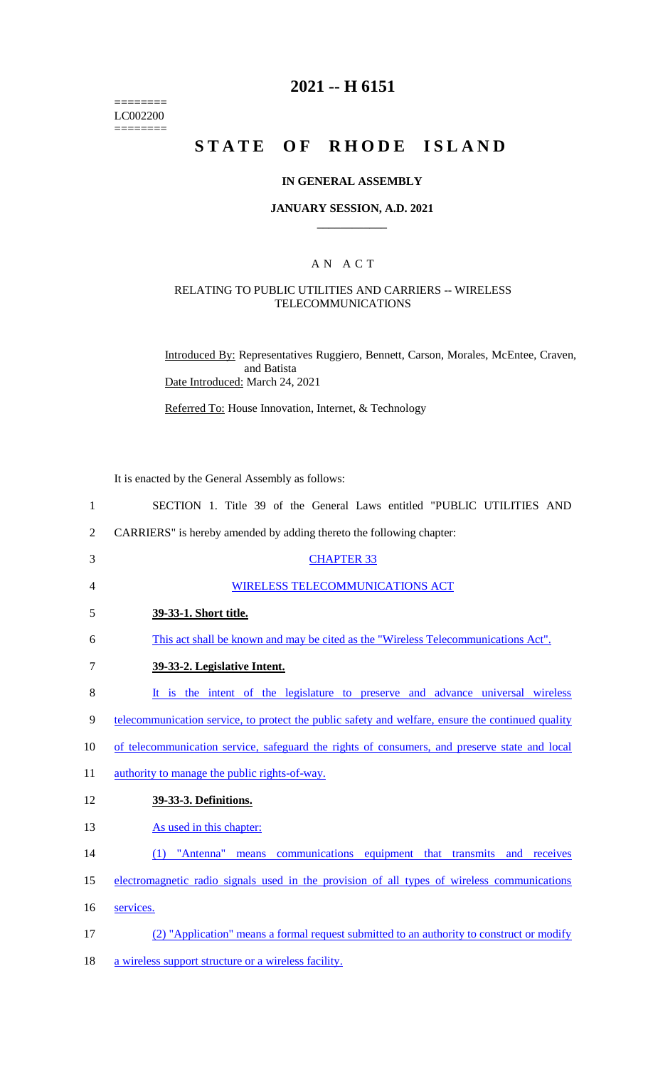======== LC002200  $=$ 

# **2021 -- H 6151**

# **STATE OF RHODE ISLAND**

#### **IN GENERAL ASSEMBLY**

#### **JANUARY SESSION, A.D. 2021 \_\_\_\_\_\_\_\_\_\_\_\_**

## A N A C T

# RELATING TO PUBLIC UTILITIES AND CARRIERS -- WIRELESS TELECOMMUNICATIONS

Introduced By: Representatives Ruggiero, Bennett, Carson, Morales, McEntee, Craven, and Batista Date Introduced: March 24, 2021

Referred To: House Innovation, Internet, & Technology

It is enacted by the General Assembly as follows:

| $\mathbf{1}$   | SECTION 1. Title 39 of the General Laws entitled "PUBLIC UTILITIES AND                                   |
|----------------|----------------------------------------------------------------------------------------------------------|
| $\overline{2}$ | CARRIERS" is hereby amended by adding thereto the following chapter:                                     |
| 3              | <b>CHAPTER 33</b>                                                                                        |
| 4              | <b>WIRELESS TELECOMMUNICATIONS ACT</b>                                                                   |
| 5              | 39-33-1. Short title.                                                                                    |
| 6              | This act shall be known and may be cited as the "Wireless Telecommunications Act".                       |
| 7              | 39-33-2. Legislative Intent.                                                                             |
| 8              | It is the intent of the legislature to preserve and advance universal wireless                           |
| 9              | <u>telecommunication service, to protect the public safety and welfare, ensure the continued quality</u> |
| 10             | of telecommunication service, safeguard the rights of consumers, and preserve state and local            |
| 11             | authority to manage the public rights-of-way.                                                            |
| 12             | 39-33-3. Definitions.                                                                                    |
| 13             | As used in this chapter:                                                                                 |
| 14             | (1) "Antenna" means communications equipment that transmits and receives                                 |
| 15             | electromagnetic radio signals used in the provision of all types of wireless communications              |
| 16             | services.                                                                                                |
| 17             | (2) "Application" means a formal request submitted to an authority to construct or modify                |
| 18             | a wireless support structure or a wireless facility.                                                     |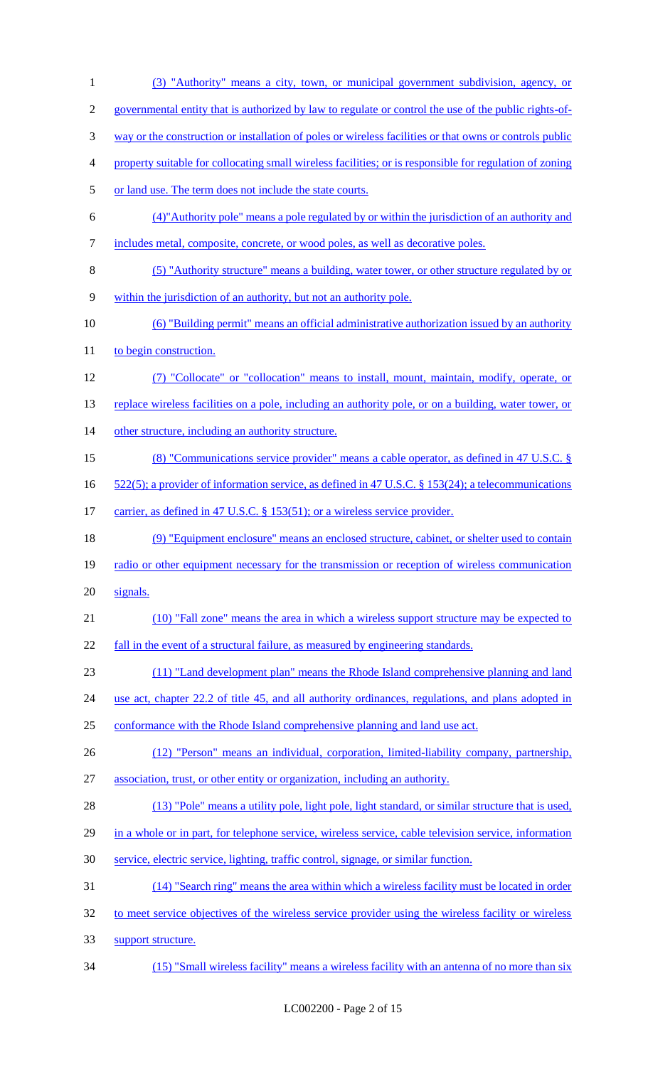(3) "Authority" means a city, town, or municipal government subdivision, agency, or governmental entity that is authorized by law to regulate or control the use of the public rights-of- way or the construction or installation of poles or wireless facilities or that owns or controls public property suitable for collocating small wireless facilities; or is responsible for regulation of zoning 5 or land use. The term does not include the state courts. (4)"Authority pole" means a pole regulated by or within the jurisdiction of an authority and includes metal, composite, concrete, or wood poles, as well as decorative poles. (5) "Authority structure" means a building, water tower, or other structure regulated by or within the jurisdiction of an authority, but not an authority pole. (6) "Building permit" means an official administrative authorization issued by an authority 11 to begin construction. (7) "Collocate" or "collocation" means to install, mount, maintain, modify, operate, or 13 replace wireless facilities on a pole, including an authority pole, or on a building, water tower, or 14 other structure, including an authority structure. (8) "Communications service provider" means a cable operator, as defined in 47 U.S.C. § 522(5); a provider of information service, as defined in 47 U.S.C. § 153(24); a telecommunications 17 carrier, as defined in 47 U.S.C. § 153(51); or a wireless service provider. (9) "Equipment enclosure" means an enclosed structure, cabinet, or shelter used to contain radio or other equipment necessary for the transmission or reception of wireless communication signals. (10) "Fall zone" means the area in which a wireless support structure may be expected to 22 fall in the event of a structural failure, as measured by engineering standards. (11) "Land development plan" means the Rhode Island comprehensive planning and land 24 use act, chapter 22.2 of title 45, and all authority ordinances, regulations, and plans adopted in conformance with the Rhode Island comprehensive planning and land use act. (12) "Person" means an individual, corporation, limited-liability company, partnership, association, trust, or other entity or organization, including an authority. 28 (13) "Pole" means a utility pole, light pole, light standard, or similar structure that is used, 29 in a whole or in part, for telephone service, wireless service, cable television service, information service, electric service, lighting, traffic control, signage, or similar function. (14) "Search ring" means the area within which a wireless facility must be located in order to meet service objectives of the wireless service provider using the wireless facility or wireless support structure. (15) "Small wireless facility" means a wireless facility with an antenna of no more than six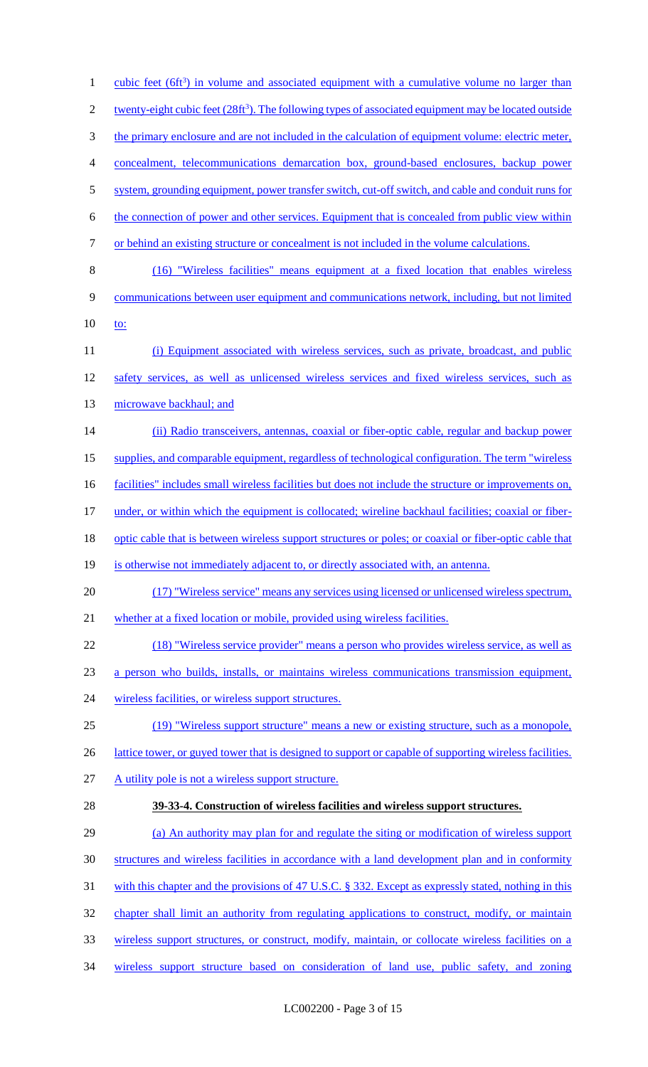| $\mathbf{1}$   | <u>cubic feet <math>(6\text{ft}^3)</math> in volume and associated equipment with a cumulative volume no larger than</u> |
|----------------|--------------------------------------------------------------------------------------------------------------------------|
| $\overline{c}$ | twenty-eight cubic feet $(28\text{ft}^3)$ . The following types of associated equipment may be located outside           |
| 3              | the primary enclosure and are not included in the calculation of equipment volume: electric meter,                       |
| 4              | concealment, telecommunications demarcation box, ground-based enclosures, backup power                                   |
| 5              | system, grounding equipment, power transfer switch, cut-off switch, and cable and conduit runs for                       |
| 6              | the connection of power and other services. Equipment that is concealed from public view within                          |
| 7              | or behind an existing structure or concealment is not included in the volume calculations.                               |
| 8              | (16) "Wireless facilities" means equipment at a fixed location that enables wireless                                     |
| 9              | communications between user equipment and communications network, including, but not limited                             |
| 10             | <u>to:</u>                                                                                                               |
| 11             | (i) Equipment associated with wireless services, such as private, broadcast, and public                                  |
| 12             | safety services, as well as unlicensed wireless services and fixed wireless services, such as                            |
| 13             | microwave backhaul; and                                                                                                  |
| 14             | (ii) Radio transceivers, antennas, coaxial or fiber-optic cable, regular and backup power                                |
| 15             | supplies, and comparable equipment, regardless of technological configuration. The term "wireless"                       |
| 16             | facilities" includes small wireless facilities but does not include the structure or improvements on,                    |
| 17             | under, or within which the equipment is collocated; wireline backhaul facilities; coaxial or fiber-                      |
| 18             | optic cable that is between wireless support structures or poles; or coaxial or fiber-optic cable that                   |
| 19             | is otherwise not immediately adjacent to, or directly associated with, an antenna.                                       |
| 20             | (17) "Wireless service" means any services using licensed or unlicensed wireless spectrum,                               |
| 21             | whether at a fixed location or mobile, provided using wireless facilities.                                               |
| 22             | (18) "Wireless service provider" means a person who provides wireless service, as well as                                |
| 23             | a person who builds, installs, or maintains wireless communications transmission equipment,                              |
| 24             | wireless facilities, or wireless support structures.                                                                     |
| 25             | (19) "Wireless support structure" means a new or existing structure, such as a monopole,                                 |
| 26             | lattice tower, or guyed tower that is designed to support or capable of supporting wireless facilities.                  |
| 27             | A utility pole is not a wireless support structure.                                                                      |
| 28             | 39-33-4. Construction of wireless facilities and wireless support structures.                                            |
| 29             | (a) An authority may plan for and regulate the siting or modification of wireless support                                |
| 30             | structures and wireless facilities in accordance with a land development plan and in conformity                          |
| 31             | with this chapter and the provisions of 47 U.S.C. § 332. Except as expressly stated, nothing in this                     |
| 32             | chapter shall limit an authority from regulating applications to construct, modify, or maintain                          |
| 33             | wireless support structures, or construct, modify, maintain, or collocate wireless facilities on a                       |
| 34             | wireless support structure based on consideration of land use, public safety, and zoning                                 |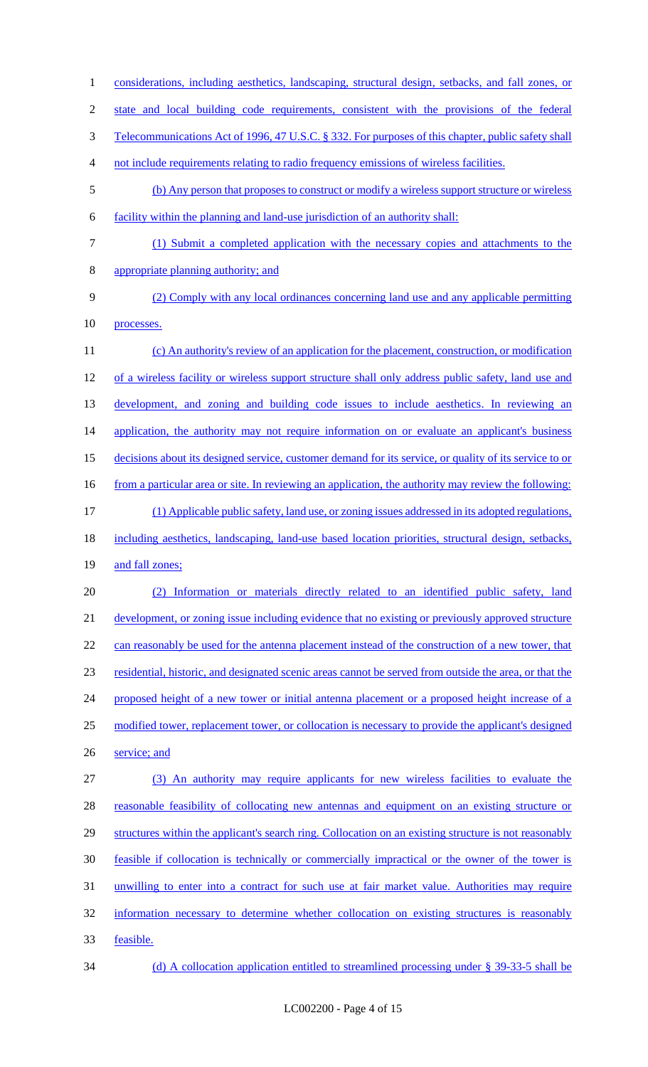1 considerations, including aesthetics, landscaping, structural design, setbacks, and fall zones, or 2 state and local building code requirements, consistent with the provisions of the federal 3 Telecommunications Act of 1996, 47 U.S.C. § 332. For purposes of this chapter, public safety shall 4 not include requirements relating to radio frequency emissions of wireless facilities. 5 (b) Any person that proposes to construct or modify a wireless support structure or wireless 6 facility within the planning and land-use jurisdiction of an authority shall: 7 (1) Submit a completed application with the necessary copies and attachments to the 8 appropriate planning authority; and 9 (2) Comply with any local ordinances concerning land use and any applicable permitting 10 processes. 11 (c) An authority's review of an application for the placement, construction, or modification 12 of a wireless facility or wireless support structure shall only address public safety, land use and 13 development, and zoning and building code issues to include aesthetics. In reviewing an 14 application, the authority may not require information on or evaluate an applicant's business 15 decisions about its designed service, customer demand for its service, or quality of its service to or 16 from a particular area or site. In reviewing an application, the authority may review the following: 17 (1) Applicable public safety, land use, or zoning issues addressed in its adopted regulations, 18 including aesthetics, landscaping, land-use based location priorities, structural design, setbacks, 19 and fall zones; 20 (2) Information or materials directly related to an identified public safety, land 21 development, or zoning issue including evidence that no existing or previously approved structure 22 can reasonably be used for the antenna placement instead of the construction of a new tower, that 23 residential, historic, and designated scenic areas cannot be served from outside the area, or that the 24 proposed height of a new tower or initial antenna placement or a proposed height increase of a 25 modified tower, replacement tower, or collocation is necessary to provide the applicant's designed 26 service; and 27 (3) An authority may require applicants for new wireless facilities to evaluate the 28 reasonable feasibility of collocating new antennas and equipment on an existing structure or 29 structures within the applicant's search ring. Collocation on an existing structure is not reasonably 30 feasible if collocation is technically or commercially impractical or the owner of the tower is 31 unwilling to enter into a contract for such use at fair market value. Authorities may require 32 information necessary to determine whether collocation on existing structures is reasonably 33 feasible. 34 (d) A collocation application entitled to streamlined processing under § 39-33-5 shall be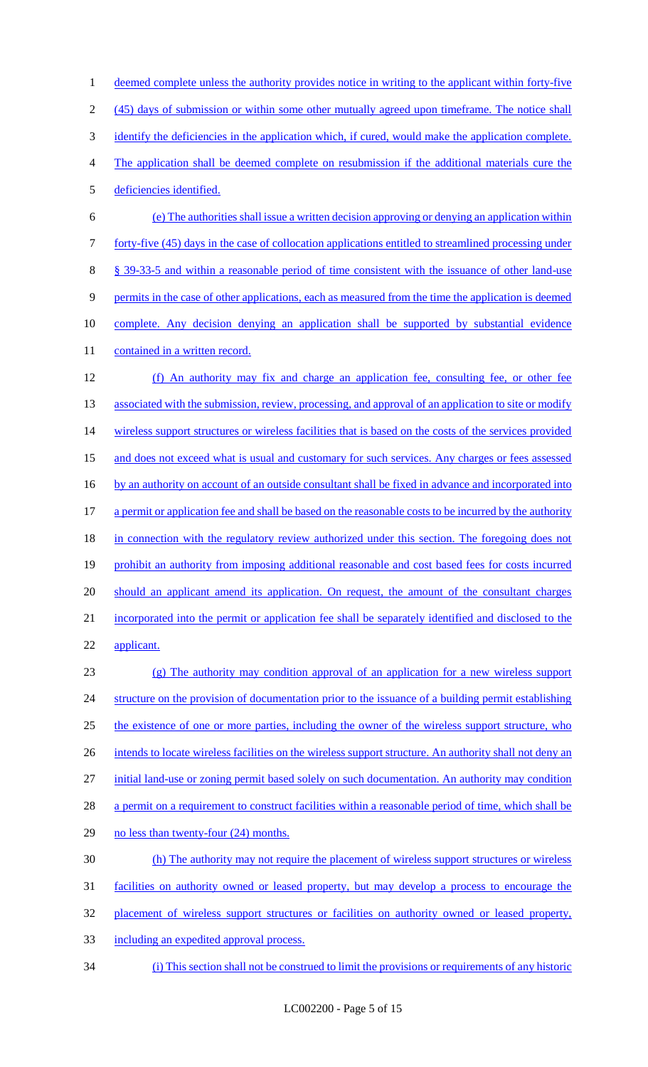1 deemed complete unless the authority provides notice in writing to the applicant within forty-five 2 (45) days of submission or within some other mutually agreed upon timeframe. The notice shall 3 identify the deficiencies in the application which, if cured, would make the application complete. 4 The application shall be deemed complete on resubmission if the additional materials cure the 5 deficiencies identified. 6 (e) The authorities shall issue a written decision approving or denying an application within 7 forty-five (45) days in the case of collocation applications entitled to streamlined processing under 8 § 39-33-5 and within a reasonable period of time consistent with the issuance of other land-use 9 permits in the case of other applications, each as measured from the time the application is deemed 10 complete. Any decision denying an application shall be supported by substantial evidence 11 contained in a written record. 12 (f) An authority may fix and charge an application fee, consulting fee, or other fee 13 associated with the submission, review, processing, and approval of an application to site or modify 14 wireless support structures or wireless facilities that is based on the costs of the services provided 15 and does not exceed what is usual and customary for such services. Any charges or fees assessed 16 by an authority on account of an outside consultant shall be fixed in advance and incorporated into 17 a permit or application fee and shall be based on the reasonable costs to be incurred by the authority 18 in connection with the regulatory review authorized under this section. The foregoing does not 19 prohibit an authority from imposing additional reasonable and cost based fees for costs incurred 20 should an applicant amend its application. On request, the amount of the consultant charges 21 incorporated into the permit or application fee shall be separately identified and disclosed to the 22 applicant. 23 (g) The authority may condition approval of an application for a new wireless support 24 structure on the provision of documentation prior to the issuance of a building permit establishing

25 the existence of one or more parties, including the owner of the wireless support structure, who

26 intends to locate wireless facilities on the wireless support structure. An authority shall not deny an

27 initial land-use or zoning permit based solely on such documentation. An authority may condition

28 a permit on a requirement to construct facilities within a reasonable period of time, which shall be

- 29 no less than twenty-four (24) months.
- 30 (h) The authority may not require the placement of wireless support structures or wireless
- 31 facilities on authority owned or leased property, but may develop a process to encourage the
- 32 placement of wireless support structures or facilities on authority owned or leased property,
- 33 including an expedited approval process.
- 34 (i) This section shall not be construed to limit the provisions or requirements of any historic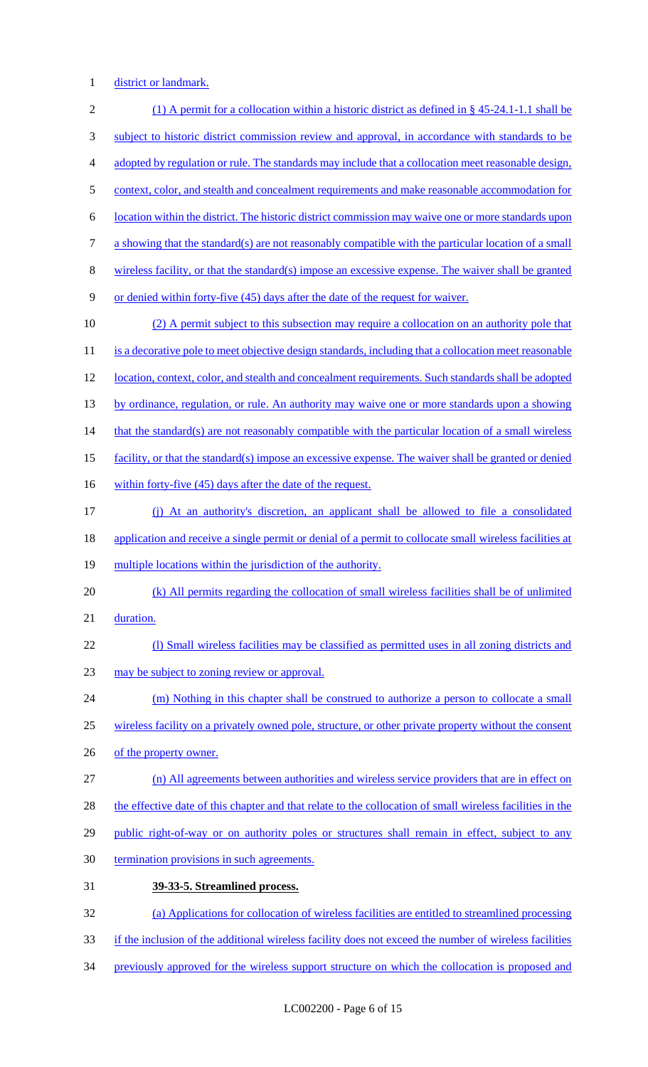1 district or landmark.

| $\sqrt{2}$     | (1) A permit for a collocation within a historic district as defined in § 45-24.1-1.1 shall be            |
|----------------|-----------------------------------------------------------------------------------------------------------|
| 3              | subject to historic district commission review and approval, in accordance with standards to be           |
| $\overline{4}$ | adopted by regulation or rule. The standards may include that a collocation meet reasonable design,       |
| $\mathfrak{S}$ | context, color, and stealth and concealment requirements and make reasonable accommodation for            |
| 6              | location within the district. The historic district commission may waive one or more standards upon       |
| $\tau$         | a showing that the standard(s) are not reasonably compatible with the particular location of a small      |
| $\,8\,$        | wireless facility, or that the standard(s) impose an excessive expense. The waiver shall be granted       |
| 9              | or denied within forty-five (45) days after the date of the request for waiver.                           |
| 10             | (2) A permit subject to this subsection may require a collocation on an authority pole that               |
| 11             | is a decorative pole to meet objective design standards, including that a collocation meet reasonable     |
| 12             | location, context, color, and stealth and concealment requirements. Such standards shall be adopted       |
| 13             | by ordinance, regulation, or rule. An authority may waive one or more standards upon a showing            |
| 14             | that the standard(s) are not reasonably compatible with the particular location of a small wireless       |
| 15             | facility, or that the standard(s) impose an excessive expense. The waiver shall be granted or denied      |
| 16             | within forty-five (45) days after the date of the request.                                                |
| 17             | (j) At an authority's discretion, an applicant shall be allowed to file a consolidated                    |
| 18             | application and receive a single permit or denial of a permit to collocate small wireless facilities at   |
| 19             | multiple locations within the jurisdiction of the authority.                                              |
| 20             | (k) All permits regarding the collocation of small wireless facilities shall be of unlimited              |
| 21             | duration.                                                                                                 |
| 22             | (1) Small wireless facilities may be classified as permitted uses in all zoning districts and             |
| 23             | may be subject to zoning review or approval.                                                              |
| 24             | (m) Nothing in this chapter shall be construed to authorize a person to collocate a small                 |
| 25             | wireless facility on a privately owned pole, structure, or other private property without the consent     |
| 26             | of the property owner.                                                                                    |
| 27             | (n) All agreements between authorities and wireless service providers that are in effect on               |
| 28             | the effective date of this chapter and that relate to the collocation of small wireless facilities in the |
| 29             | public right-of-way or on authority poles or structures shall remain in effect, subject to any            |
| 30             | termination provisions in such agreements.                                                                |
| 31             | 39-33-5. Streamlined process.                                                                             |
| 32             | (a) Applications for collocation of wireless facilities are entitled to streamlined processing            |
| 33             | if the inclusion of the additional wireless facility does not exceed the number of wireless facilities    |
| 34             | previously approved for the wireless support structure on which the collocation is proposed and           |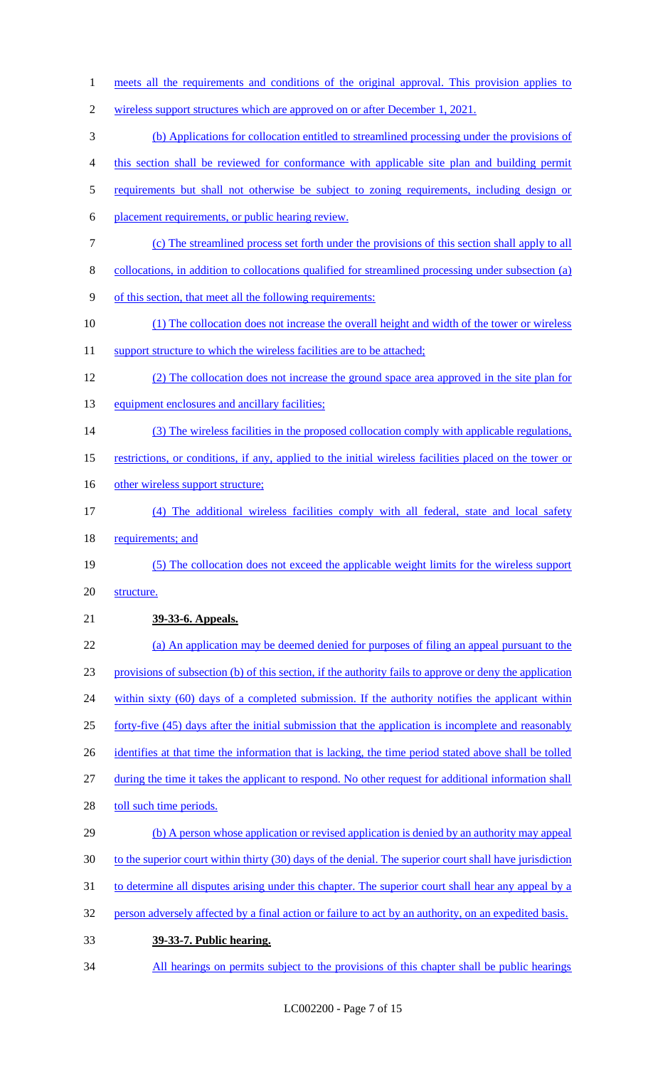meets all the requirements and conditions of the original approval. This provision applies to wireless support structures which are approved on or after December 1, 2021. (b) Applications for collocation entitled to streamlined processing under the provisions of this section shall be reviewed for conformance with applicable site plan and building permit requirements but shall not otherwise be subject to zoning requirements, including design or placement requirements, or public hearing review. (c) The streamlined process set forth under the provisions of this section shall apply to all collocations, in addition to collocations qualified for streamlined processing under subsection (a) of this section, that meet all the following requirements: (1) The collocation does not increase the overall height and width of the tower or wireless 11 support structure to which the wireless facilities are to be attached; (2) The collocation does not increase the ground space area approved in the site plan for 13 equipment enclosures and ancillary facilities; 14 (3) The wireless facilities in the proposed collocation comply with applicable regulations, restrictions, or conditions, if any, applied to the initial wireless facilities placed on the tower or 16 other wireless support structure; (4) The additional wireless facilities comply with all federal, state and local safety 18 requirements; and (5) The collocation does not exceed the applicable weight limits for the wireless support structure. **39-33-6. Appeals.**  (a) An application may be deemed denied for purposes of filing an appeal pursuant to the provisions of subsection (b) of this section, if the authority fails to approve or deny the application 24 within sixty (60) days of a completed submission. If the authority notifies the applicant within forty-five (45) days after the initial submission that the application is incomplete and reasonably 26 identifies at that time the information that is lacking, the time period stated above shall be tolled during the time it takes the applicant to respond. No other request for additional information shall 28 toll such time periods. 29 (b) A person whose application or revised application is denied by an authority may appeal 30 to the superior court within thirty (30) days of the denial. The superior court shall have jurisdiction to determine all disputes arising under this chapter. The superior court shall hear any appeal by a person adversely affected by a final action or failure to act by an authority, on an expedited basis. **39-33-7. Public hearing.**  34 All hearings on permits subject to the provisions of this chapter shall be public hearings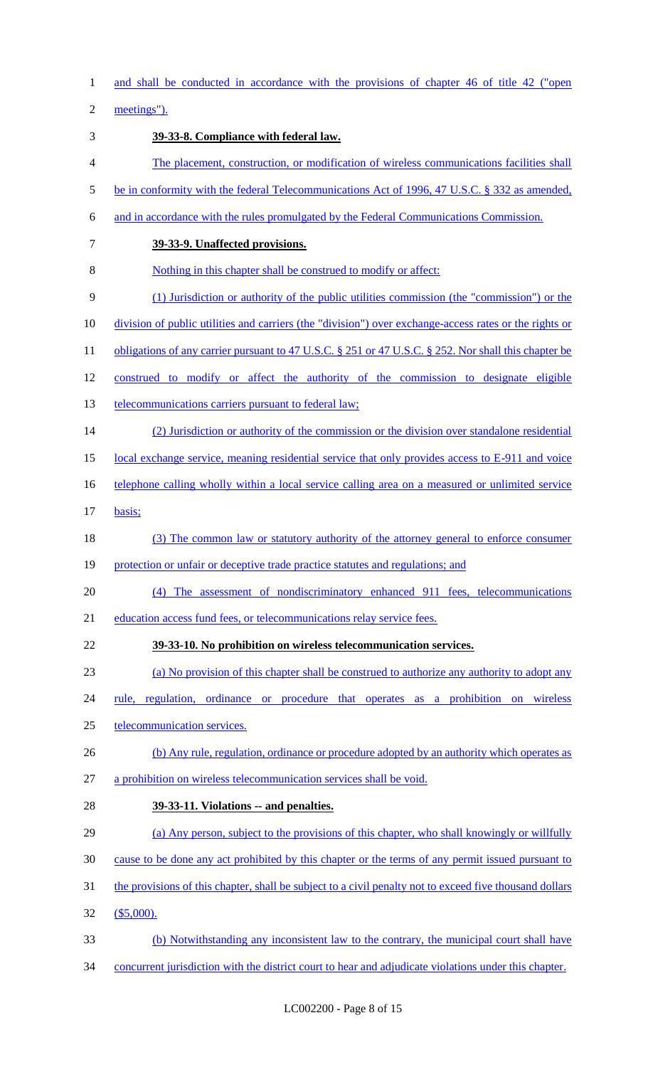and shall be conducted in accordance with the provisions of chapter 46 of title 42 ("open

meetings").

 **39-33-8. Compliance with federal law.**  The placement, construction, or modification of wireless communications facilities shall be in conformity with the federal Telecommunications Act of 1996, 47 U.S.C. § 332 as amended, and in accordance with the rules promulgated by the Federal Communications Commission. **39-33-9. Unaffected provisions.**  Nothing in this chapter shall be construed to modify or affect: (1) Jurisdiction or authority of the public utilities commission (the "commission") or the division of public utilities and carriers (the "division") over exchange-access rates or the rights or 11 obligations of any carrier pursuant to 47 U.S.C. § 251 or 47 U.S.C. § 252. Nor shall this chapter be construed to modify or affect the authority of the commission to designate eligible 13 telecommunications carriers pursuant to federal law; (2) Jurisdiction or authority of the commission or the division over standalone residential 15 local exchange service, meaning residential service that only provides access to E-911 and voice 16 telephone calling wholly within a local service calling area on a measured or unlimited service basis; 18 (3) The common law or statutory authority of the attorney general to enforce consumer 19 protection or unfair or deceptive trade practice statutes and regulations; and (4) The assessment of nondiscriminatory enhanced 911 fees, telecommunications education access fund fees, or telecommunications relay service fees. **39-33-10. No prohibition on wireless telecommunication services.**  (a) No provision of this chapter shall be construed to authorize any authority to adopt any rule, regulation, ordinance or procedure that operates as a prohibition on wireless telecommunication services. 26 (b) Any rule, regulation, ordinance or procedure adopted by an authority which operates as a prohibition on wireless telecommunication services shall be void. **39-33-11. Violations -- and penalties.**  (a) Any person, subject to the provisions of this chapter, who shall knowingly or willfully cause to be done any act prohibited by this chapter or the terms of any permit issued pursuant to 31 the provisions of this chapter, shall be subject to a civil penalty not to exceed five thousand dollars (\$5,000). (b) Notwithstanding any inconsistent law to the contrary, the municipal court shall have concurrent jurisdiction with the district court to hear and adjudicate violations under this chapter.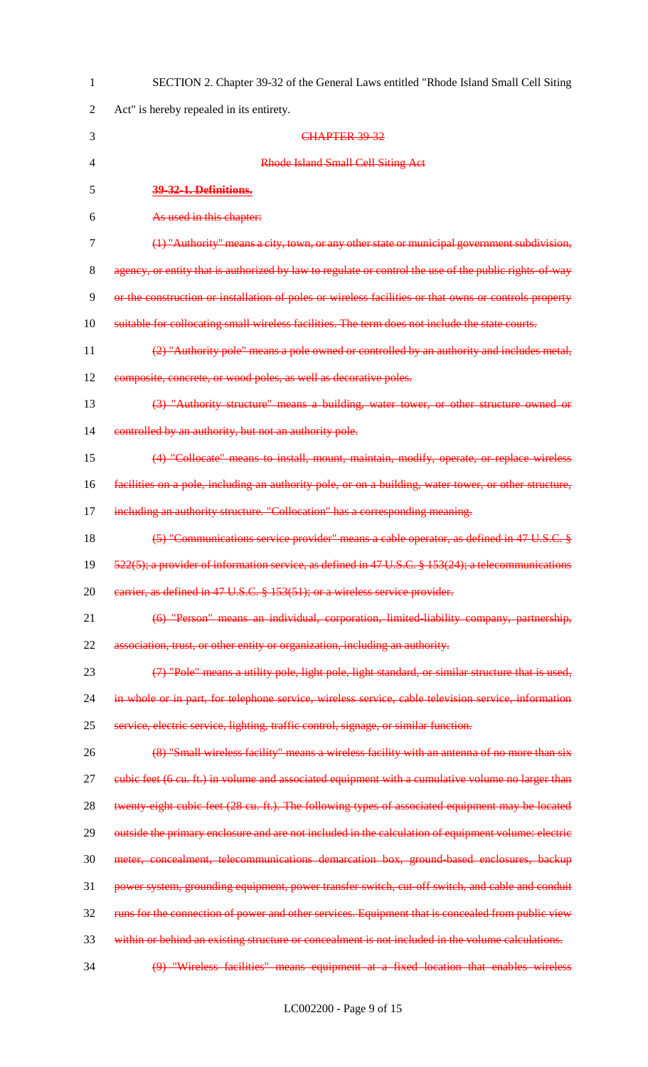| $\mathbf{1}$   | SECTION 2. Chapter 39-32 of the General Laws entitled "Rhode Island Small Cell Siting                  |
|----------------|--------------------------------------------------------------------------------------------------------|
| $\sqrt{2}$     | Act" is hereby repealed in its entirety.                                                               |
| 3              | CHAPTER 39-32                                                                                          |
| $\overline{4}$ | <b>Rhode Island Small Cell Siting Act</b>                                                              |
| 5              | 39-32-1. Definitions.                                                                                  |
| 6              | As used in this chapter:                                                                               |
| 7              | (1) "Authority" means a city, town, or any other state or municipal government subdivision,            |
| $8\,$          | agency, or entity that is authorized by law to regulate or control the use of the public rights of way |
| $\mathbf{9}$   | or the construction or installation of poles or wireless facilities or that owns or controls property  |
| 10             | suitable for collocating small wireless facilities. The term does not include the state courts.        |
| 11             | (2) "Authority pole" means a pole owned or controlled by an authority and includes metal,              |
| 12             | composite, concrete, or wood poles, as well as decorative poles.                                       |
| 13             | (3) "Authority structure" means a building, water tower, or other structure owned or                   |
| 14             | controlled by an authority, but not an authority pole.                                                 |
| 15             | (4) "Collocate" means to install, mount, maintain, modify, operate, or replace wireless                |
| 16             | facilities on a pole, including an authority pole, or on a building, water tower, or other structure,  |
| 17             | including an authority structure. "Collocation" has a corresponding meaning.                           |
| 18             | (5) "Communications service provider" means a cable operator, as defined in 47 U.S.C. §                |
| 19             | $522(5)$ ; a provider of information service, as defined in 47 U.S.C. § 153(24); a telecommunications  |
| 20             | earrier, as defined in 47 U.S.C. § 153(51); or a wireless service provider.                            |
| 21             | (6) "Person" means an individual, corporation, limited liability company, partnership,                 |
| 22             | association, trust, or other entity or organization, including an authority.                           |
| 23             | (7) "Pole" means a utility pole, light pole, light standard, or similar structure that is used,        |
| 24             | in whole or in part, for telephone service, wireless service, cable television service, information    |
| 25             | service, electric service, lighting, traffic control, signage, or similar function.                    |
| 26             | (8) "Small wireless facility" means a wireless facility with an antenna of no more than six            |
| 27             | eubic feet (6 cu. ft.) in volume and associated equipment with a cumulative volume no larger than      |
| 28             | twenty eight cubic feet (28 cu. ft.). The following types of associated equipment may be located       |
| 29             | outside the primary enclosure and are not included in the calculation of equipment volume: electric    |
| 30             | meter, concealment, telecommunications demarcation box, ground-based enclosures, backup                |
| 31             | power system, grounding equipment, power transfer switch, cut-off switch, and cable and conduit        |
| 32             | runs for the connection of power and other services. Equipment that is concealed from public view      |
| 33             | within or behind an existing structure or concealment is not included in the volume calculations.      |
| 34             | (9) "Wireless facilities" means equipment at a fixed location that enables wireless                    |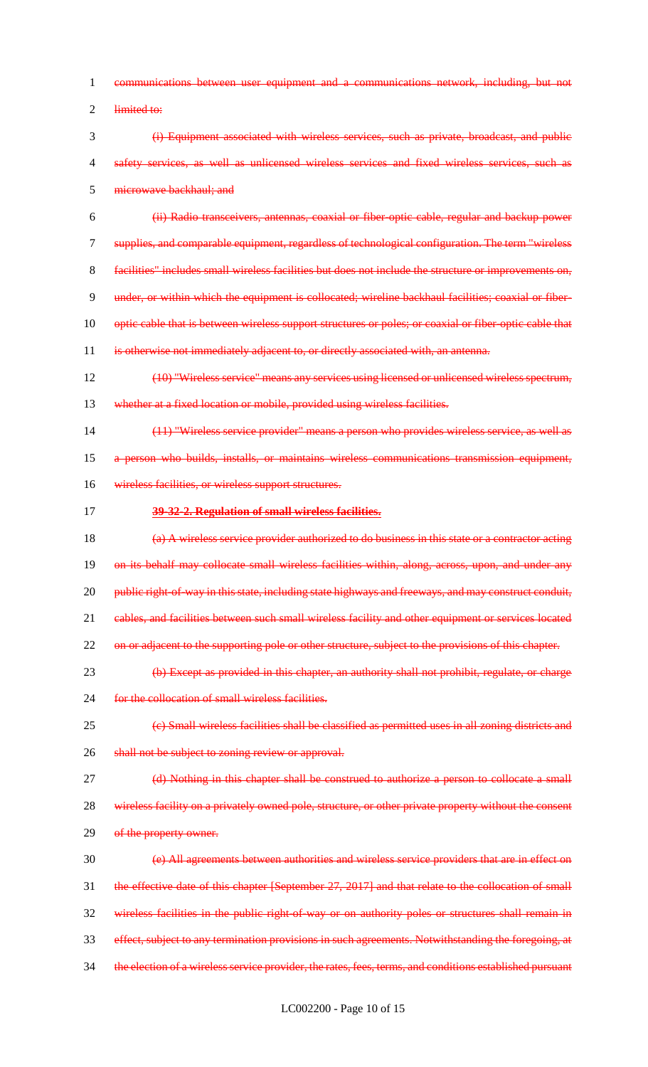- 1 communications between user equipment and a communications network, including, but not
- 2 limited to:
- 3 (i) Equipment associated with wireless services, such as private, broadcast, and public 4 safety services, as well as unlicensed wireless services and fixed wireless services, such as 5 microwave backhaul; and
- 6 (ii) Radio transceivers, antennas, coaxial or fiber-optic cable, regular and backup power 7 supplies, and comparable equipment, regardless of technological configuration. The term "wireless
- 
- 8 facilities" includes small wireless facilities but does not include the structure or improvements on,
- 9 under, or within which the equipment is collocated; wireline backhaul facilities; coaxial or fiber-
- 10 optic cable that is between wireless support structures or poles; or coaxial or fiber-optic cable that
- 11 is otherwise not immediately adjacent to, or directly associated with, an antenna.
- 12 (10) "Wireless service" means any services using licensed or unlicensed wireless spectrum,
- 13 whether at a fixed location or mobile, provided using wireless facilities.
- 14 (11) "Wireless service provider" means a person who provides wireless service, as well as 15 a person who builds, installs, or maintains wireless communications transmission equipment,
- 16 wireless facilities, or wireless support structures.
- 
- 17 **39-32-2. Regulation of small wireless facilities.**
- 18  $\left( \frac{a}{b} \right)$  A wireless service provider authorized to do business in this state or a contractor acting 19 on its behalf may collocate small wireless facilities within, along, across, upon, and under any 20 public right-of-way in this state, including state highways and freeways, and may construct conduit, 21 cables, and facilities between such small wireless facility and other equipment or services located
- 22 on or adjacent to the supporting pole or other structure, subject to the provisions of this chapter.
- 23 (b) Except as provided in this chapter, an authority shall not prohibit, regulate, or charge
- 24 for the collocation of small wireless facilities.
- 25 (c) Small wireless facilities shall be classified as permitted uses in all zoning districts and 26 shall not be subject to zoning review or approval.
- 
- 27 (d) Nothing in this chapter shall be construed to authorize a person to collocate a small
- 28 wireless facility on a privately owned pole, structure, or other private property without the consent 29 of the property owner.
- 30 (e) All agreements between authorities and wireless service providers that are in effect on 31 the effective date of this chapter [September 27, 2017] and that relate to the collocation of small 32 wireless facilities in the public right-of-way or on authority poles or structures shall remain in 33 effect, subject to any termination provisions in such agreements. Notwithstanding the foregoing, at
- 34 the election of a wireless service provider, the rates, fees, terms, and conditions established pursuant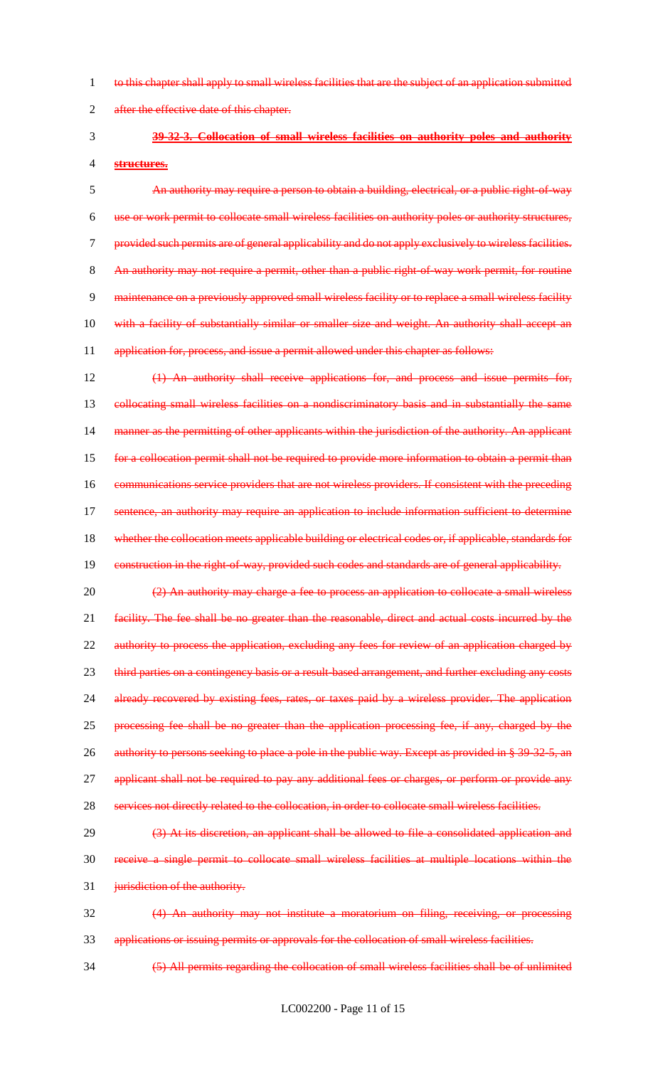1 to this chapter shall apply to small wireless facilities that are the subject of an application submitted

2 after the effective date of this chapter.

# 3 **39-32-3. Collocation of small wireless facilities on authority poles and authority**

4 **structures.**

5 An authority may require a person to obtain a building, electrical, or a public right-of-way 6 use or work permit to collocate small wireless facilities on authority poles or authority structures, 7 provided such permits are of general applicability and do not apply exclusively to wireless facilities. 8 An authority may not require a permit, other than a public right-of-way work permit, for routine 9 maintenance on a previously approved small wireless facility or to replace a small wireless facility 10 with a facility of substantially similar or smaller size and weight. An authority shall accept an 11 application for, process, and issue a permit allowed under this chapter as follows:

12 (1) An authority shall receive applications for, and process and issue permits for, 13 collocating small wireless facilities on a nondiscriminatory basis and in substantially the same 14 manner as the permitting of other applicants within the jurisdiction of the authority. An applicant 15 for a collocation permit shall not be required to provide more information to obtain a permit than 16 communications service providers that are not wireless providers. If consistent with the preceding 17 sentence, an authority may require an application to include information sufficient to determine 18 whether the collocation meets applicable building or electrical codes or, if applicable, standards for 19 construction in the right-of-way, provided such codes and standards are of general applicability.

20 (2) An authority may charge a fee to process an application to collocate a small wireless 21 facility. The fee shall be no greater than the reasonable, direct and actual costs incurred by the 22 authority to process the application, excluding any fees for review of an application charged by 23 third parties on a contingency basis or a result-based arrangement, and further excluding any costs 24 already recovered by existing fees, rates, or taxes paid by a wireless provider. The application 25 processing fee shall be no greater than the application processing fee, if any, charged by the 26 authority to persons seeking to place a pole in the public way. Except as provided in § 39-32-5, an 27 applicant shall not be required to pay any additional fees or charges, or perform or provide any

28 services not directly related to the collocation, in order to collocate small wireless facilities.

29 (3) At its discretion, an applicant shall be allowed to file a consolidated application and 30 receive a single permit to collocate small wireless facilities at multiple locations within the 31 **jurisdiction of the authority.** 

32 (4) An authority may not institute a moratorium on filing, receiving, or processing 33 applications or issuing permits or approvals for the collocation of small wireless facilities.

34 (5) All permits regarding the collocation of small wireless facilities shall be of unlimited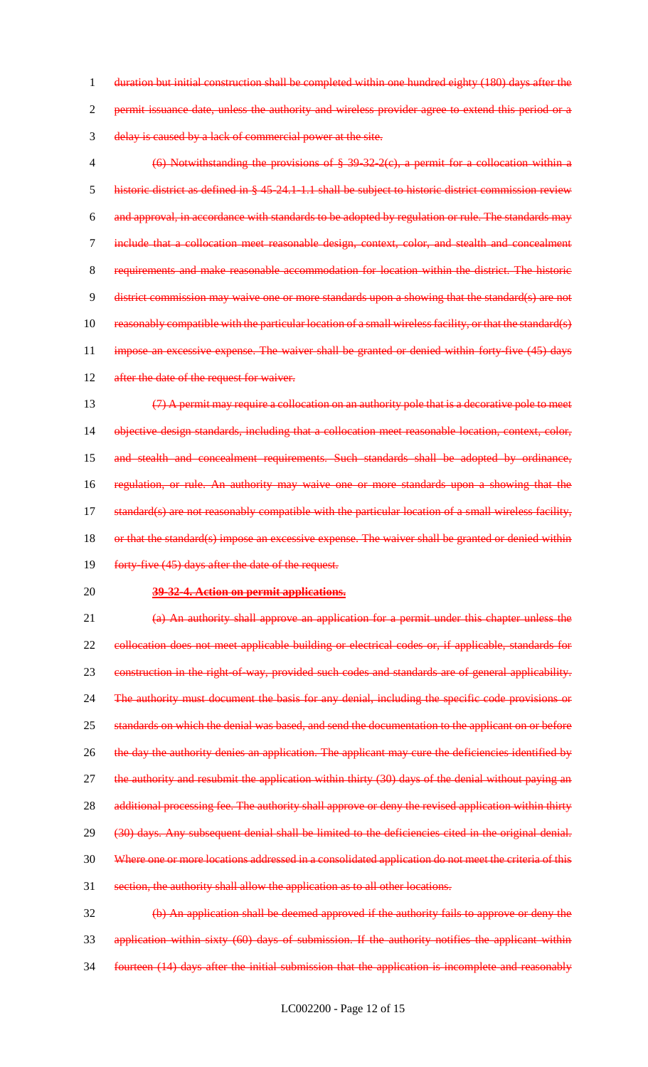1 duration but initial construction shall be completed within one hundred eighty (180) days after the 2 permit issuance date, unless the authority and wireless provider agree to extend this period or a 3 delay is caused by a lack of commercial power at the site.

- 4 (6) Notwithstanding the provisions of § 39-32-2(c), a permit for a collocation within a 5 historic district as defined in § 45-24.1-1.1 shall be subject to historic district commission review 6 and approval, in accordance with standards to be adopted by regulation or rule. The standards may 7 include that a collocation meet reasonable design, context, color, and stealth and concealment 8 requirements and make reasonable accommodation for location within the district. The historic 9 district commission may waive one or more standards upon a showing that the standard(s) are not 10 reasonably compatible with the particular location of a small wireless facility, or that the standard(s) 11 impose an excessive expense. The waiver shall be granted or denied within forty-five (45) days 12 after the date of the request for waiver.
- 13 (7) A permit may require a collocation on an authority pole that is a decorative pole to meet 14 objective design standards, including that a collocation meet reasonable location, context, color, 15 and stealth and concealment requirements. Such standards shall be adopted by ordinance, 16 regulation, or rule. An authority may waive one or more standards upon a showing that the 17 standard(s) are not reasonably compatible with the particular location of a small wireless facility, 18 or that the standard(s) impose an excessive expense. The waiver shall be granted or denied within
- 19 forty-five (45) days after the date of the request.
- 20 **39-32-4. Action on permit applications.**

21 (a) An authority shall approve an application for a permit under this chapter unless the 22 collocation does not meet applicable building or electrical codes or, if applicable, standards for 23 construction in the right-of-way, provided such codes and standards are of general applicability. 24 The authority must document the basis for any denial, including the specific code provisions or 25 standards on which the denial was based, and send the documentation to the applicant on or before 26 the day the authority denies an application. The applicant may cure the deficiencies identified by 27 the authority and resubmit the application within thirty (30) days of the denial without paying an 28 additional processing fee. The authority shall approve or deny the revised application within thirty 29 (30) days. Any subsequent denial shall be limited to the deficiencies cited in the original denial. 30 Where one or more locations addressed in a consolidated application do not meet the criteria of this 31 section, the authority shall allow the application as to all other locations.

32 (b) An application shall be deemed approved if the authority fails to approve or deny the 33 application within sixty (60) days of submission. If the authority notifies the applicant within 34 fourteen (14) days after the initial submission that the application is incomplete and reasonably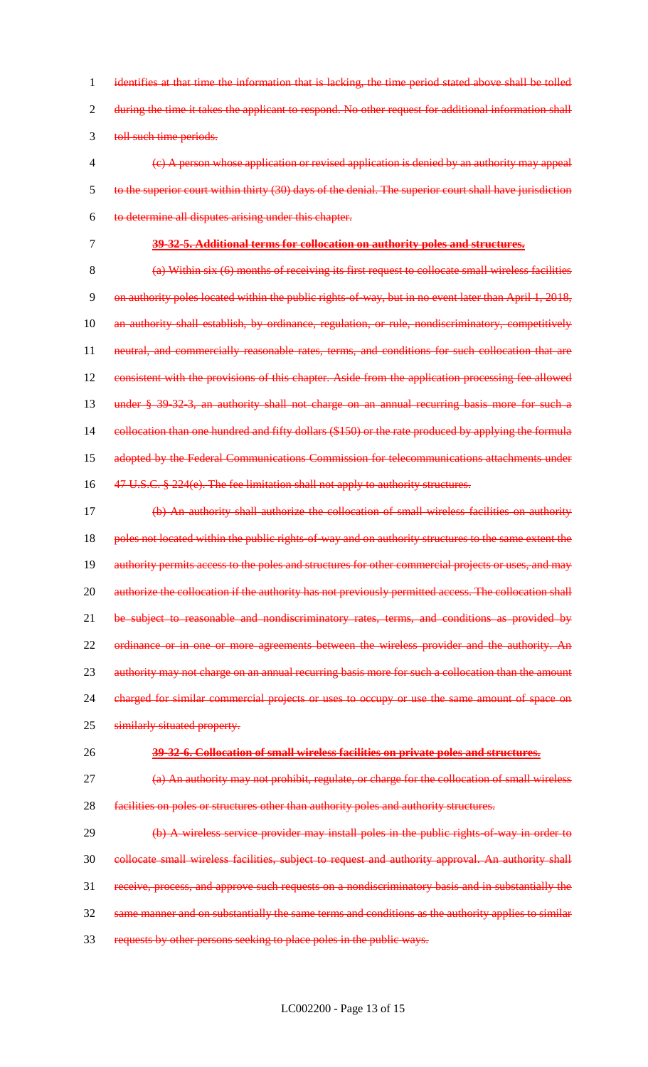1 identifies at that time the information that is lacking, the time period stated above shall be tolled 2 during the time it takes the applicant to respond. No other request for additional information shall 3 toll such time periods.

- 4 (c) A person whose application or revised application is denied by an authority may appeal 5 to the superior court within thirty (30) days of the denial. The superior court shall have jurisdiction 6 to determine all disputes arising under this chapter.
- 7 **39-32-5. Additional terms for collocation on authority poles and structures.**

8 (a) Within six (6) months of receiving its first request to collocate small wireless facilities 9 on authority poles located within the public rights-of-way, but in no event later than April 1, 2018, 10 an authority shall establish, by ordinance, regulation, or rule, nondiscriminatory, competitively 11 neutral, and commercially reasonable rates, terms, and conditions for such collocation that are 12 consistent with the provisions of this chapter. Aside from the application processing fee allowed 13 under § 39-32-3, an authority shall not charge on an annual recurring basis more for such a 14 eollocation than one hundred and fifty dollars (\$150) or the rate produced by applying the formula 15 adopted by the Federal Communications Commission for telecommunications attachments under 16 47 U.S.C. § 224(e). The fee limitation shall not apply to authority structures.

- 17 (b) An authority shall authorize the collocation of small wireless facilities on authority 18 poles not located within the public rights of way and on authority structures to the same extent the 19 authority permits access to the poles and structures for other commercial projects or uses, and may 20 authorize the collocation if the authority has not previously permitted access. The collocation shall 21 be subject to reasonable and nondiscriminatory rates, terms, and conditions as provided by 22 ordinance or in one or more agreements between the wireless provider and the authority. An 23 authority may not charge on an annual recurring basis more for such a collocation than the amount 24 charged for similar commercial projects or uses to occupy or use the same amount of space on
- 25 similarly situated property.
- 

# 26 **39-32-6. Collocation of small wireless facilities on private poles and structures.**

27 (a) An authority may not prohibit, regulate, or charge for the collocation of small wireless 28 facilities on poles or structures other than authority poles and authority structures.

29 (b) A wireless service provider may install poles in the public rights of way in order to collocate small wireless facilities, subject to request and authority approval. An authority shall receive, process, and approve such requests on a nondiscriminatory basis and in substantially the same manner and on substantially the same terms and conditions as the authority applies to similar

33 requests by other persons seeking to place poles in the public ways.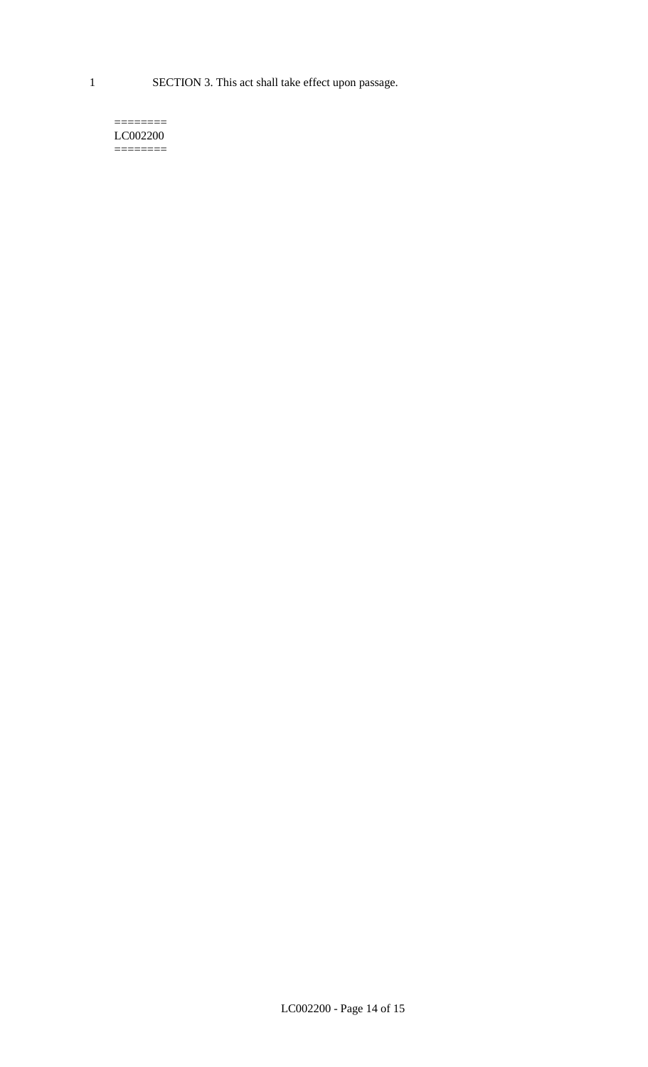1 SECTION 3. This act shall take effect upon passage.

#### $=$ LC002200  $=$

LC002200 - Page 14 of 15